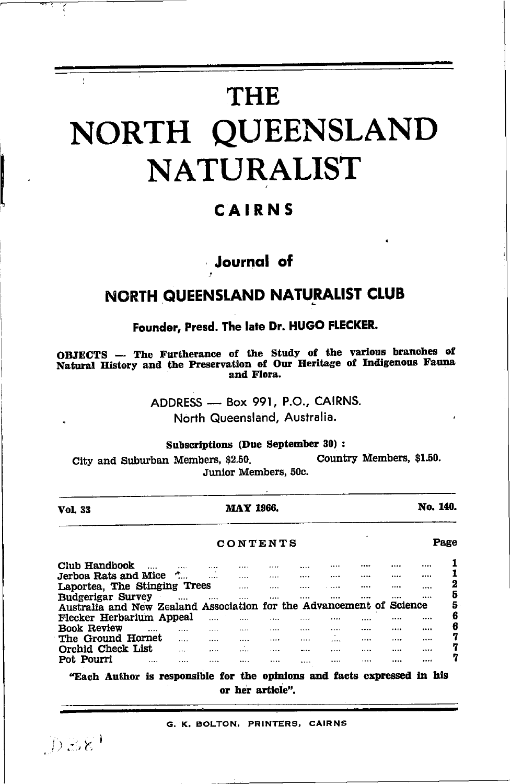# **THE** NORTH QUEENSLAND **NATURALIST**

### CAIRNS

### Journal of

### NORTH QUEENSLAND NATURALIST CLUB

### Founder, Presd. The late Dr. HUGO FLECKER.

OBJECTS -- The Furtherance of the Study of the various branches of Natural History and the Preservation of Our Heritage of Indigenous Fauna and Flora.

> ADDRESS - Box 991, P.O., CAIRNS. North Queensland, Australia.

Subscriptions (Due September 30):

Country Members, \$1.50. City and Suburban Members, \$2.50. Junior Members, 50c.

|                                   | <b>MAY 1966.</b> |                      |   |       |  | No. 140.                                                     |                 |  |
|-----------------------------------|------------------|----------------------|---|-------|--|--------------------------------------------------------------|-----------------|--|
| CONTENTS                          |                  |                      |   |       |  |                                                              |                 |  |
|                                   | .                |                      |   |       |  |                                                              |                 |  |
|                                   | .                |                      | . |       |  |                                                              |                 |  |
| Laportea. The Stinging Trees<br>. |                  |                      |   |       |  |                                                              | 2               |  |
|                                   |                  |                      |   |       |  |                                                              | 5               |  |
|                                   |                  |                      |   |       |  |                                                              | 5               |  |
|                                   |                  |                      |   |       |  |                                                              | 6               |  |
| .                                 |                  |                      |   |       |  |                                                              | 6               |  |
|                                   |                  | .                    |   |       |  |                                                              | 7               |  |
|                                   |                  | .                    |   |       |  |                                                              | 7               |  |
|                                   |                  |                      |   |       |  |                                                              | 7               |  |
|                                   |                  | <br><br><br><br><br> |   | .<br> |  | Australia and New Zealand Association for the Advancement of | Page<br>Science |  |

or her article".

G. K. BOLTON, PRINTERS, CAIRNS

 $[0.88]$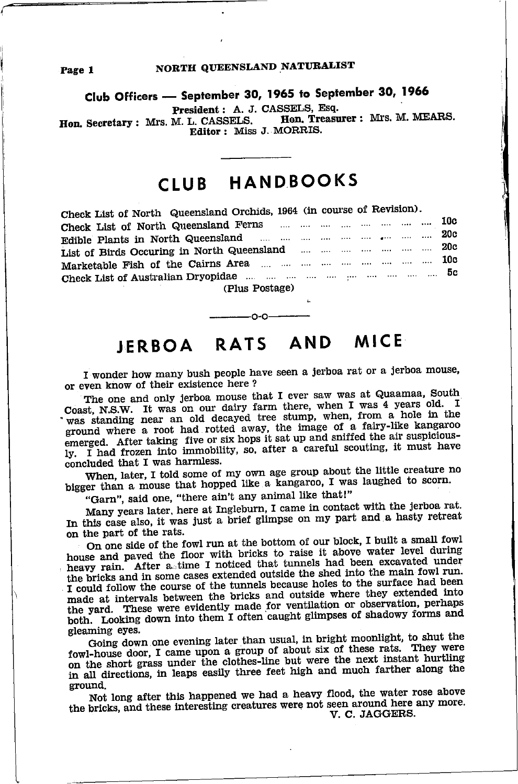#### NORTH QUEENSLAND NATURALIST

Club Officers - September 30, 1965 to September 30, 1966

President: A. J. CASSELS, Esq.

Hon. Treasurer : Mrs. M. MEARS. Hon. Secretary : Mrs. M. L. CASSELS. Editor: Miss J. MORRIS.

## CLUB HANDBOOKS

| Check List of North Queensland Orchids, 1964 (in course of Revision). |  |  |  |  |  |  |  |  |  |  |  |
|-----------------------------------------------------------------------|--|--|--|--|--|--|--|--|--|--|--|
|                                                                       |  |  |  |  |  |  |  |  |  |  |  |
|                                                                       |  |  |  |  |  |  |  |  |  |  |  |
| List of Birds Occuring in North Queensland        20c                 |  |  |  |  |  |  |  |  |  |  |  |
|                                                                       |  |  |  |  |  |  |  |  |  |  |  |
|                                                                       |  |  |  |  |  |  |  |  |  |  |  |
|                                                                       |  |  |  |  |  |  |  |  |  |  |  |
| (Dhis Postage)                                                        |  |  |  |  |  |  |  |  |  |  |  |

## JERBOA RATS AND MICE

I wonder how many bush people have seen a jerboa rat or a jerboa mouse. or even know of their existence here?

The one and only jerboa mouse that I ever saw was at Quaamaa, South Coast, N.S.W. It was on our dairy farm there, when I was 4 years old. I was standing near an old decayed tree stump, when, from a hole in the ground where a root had rotted away, the image of a fairy-like kangaroo energed. After taking five or six hops it sat up and sniffed the air suspicious-<br>ly. I had frozen into immobility, so, after a careful scouting, it must have concluded that I was harmless.

When, later, I told some of my own age group about the little creature no bigger than a mouse that hopped like a kangaroo, I was laughed to scorn.

"Garn", said one, "there ain't any animal like that!"

Many years later, here at Ingleburn, I came in contact with the jerboa rat. In this case also, it was just a brief glimpse on my part and a hasty retreat on the part of the rats.

On one side of the fowl run at the bottom of our block, I built a small fowl house and paved the floor with bricks to raise it above water level during heavy rain. After a time I noticed that tunnels had been excavated under the bricks and in some cases extended outside the shed into the main fowl run. I could follow the course of the tunnels because holes to the surface had been made at intervals between the bricks and outside where they extended into the yard. These were evidently made for ventilation or observation, perhaps both. Looking down into them I often caught glimpses of shadowy forms and gleaming eyes.

Going down one evening later than usual, in bright moonlight, to shut the fowl-house door, I came upon a group of about six of these rats. They were on the short grass under the clothes-line but were the next instant hurtling in all directions, in leaps easily three feet high and much farther along the ground.

Not long after this happened we had a heavy flood, the water rose above the bricks, and these interesting creatures were not seen around here any more. V. C. JAGGERS.

Page 1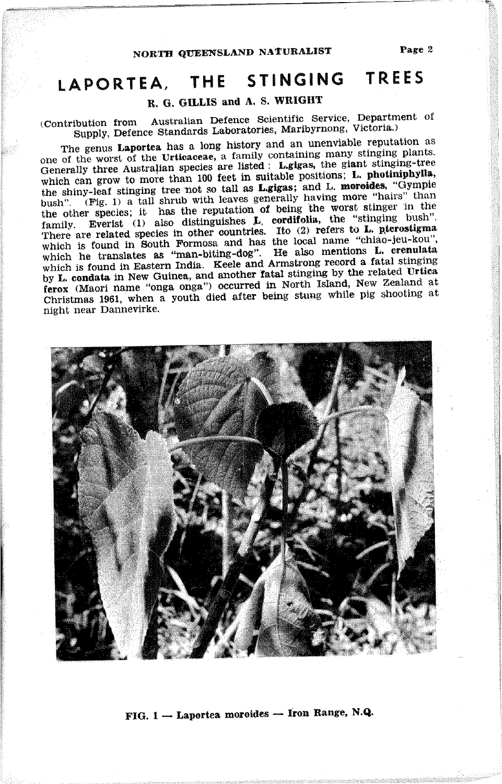#### THE STINGING TREES LAPORTEA.

### R. G. GILLIS and A. S. WRIGHT

Australian Defence Scientific Service, Department of (Contribution from Supply, Defence Standards Laboratories, Maribyrnong, Victoria.)

The genus Laportea has a long history and an unenviable reputation as one of the worst of the Urticaceae, a family containing many stinging plants. Generally three Australian species are listed : Lgigas, the giant stinging-tree which can grow to more than 100 feet in suitable positions; L. photiniphylla, the shiny-leaf stinging tree not so tall as Lgigas; and L. moroides, "Gympie bush". (Fig. 1) a tall shrub with leaves generally having more "hairs" than the other species; it has the reputation of being the worst stinger in the family. Everist (1) also distinguishes **L**, cordifolia, the "stinging bush".<br>There are related species in other countries. Ito (2) refers to **L**, pterostigma which is found in South Formosa and has the local name "chiao-jeu-kou", which he translates as "man-biting-dog". He also mentions L. crenulata<br>which is found in Eastern India. Keele and Armstrong record a fatal stinging by L. condata in New Guinea, and another fatal stinging by the related Urtica ferox (Maori name "onga onga") occurred in North Island, New Zealand at Christmas 1961, when a youth died after being stung while pig shooting at night near Dannevirke.



### FIG. 1 - Laportea moroides - Iron Range, N.Q.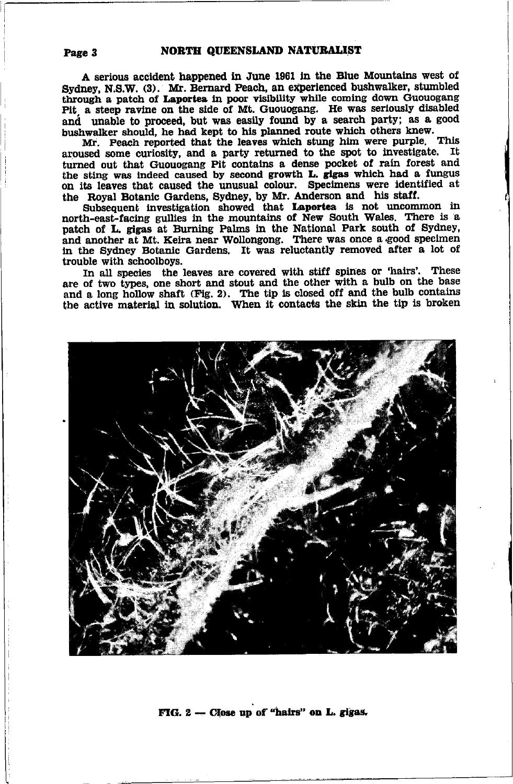A serious accident happened in June 1961 in the Blue Mountains west of Sydney, N.S.W. (3). Mr. Bernard Peach, an experienced bushwalker, stumbled through a patch of Laportea in poor visibility while coming down Guouogang Pit a steep ravine on the side of Mt. Guouogang. He was seriously disabled and unable to proceed, but was easily found by a search party; as a good bushwalker should, he had kept to his planned route which others knew.

Mr. Peach reported that the leaves which stung him were purple. This aroused some curiosity, and a party returned to the spot to investigate. It turned out that Guouogang Pit contains a dense pocket of rain forest and the sting was indeed caused by second growth L. gigas which had a fungus on its leaves that caused the unusual colour. Specimens were identified at the Royal Botanic Gardens, Sydney, by Mr. Anderson and his staff.

Subsequent investigation showed that Laportea is not uncommon in north-east-facing gullies in the mountains of New South Wales. There is a patch of L. gigas at Burning Palms in the National Park south of Sydney, and another at Mt. Keira near Wollongong. There was once a good specimen in the Sydney Botanic Gardens. It was reluctantly removed after a lot of trouble with schoolboys.

In all species the leaves are covered with stiff spines or 'hairs'. These are of two types, one short and stout and the other with a bulb on the base and a long hollow shaft (Fig. 2). The tip is closed off and the bulb contains the active material in solution. When it contacts the skin the tip is broken



#### FIG. 2 - Close up of "hairs" on L. gigas.

#### Page 3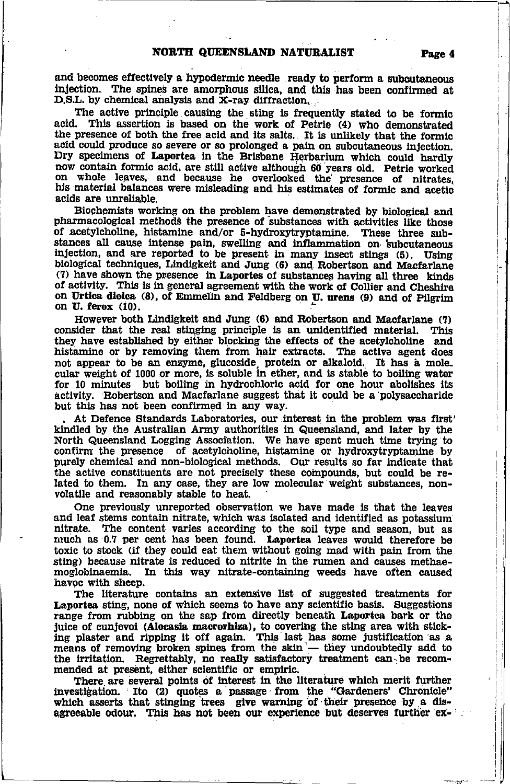and becomes effectively a hypodermic needle ready to perform a subcutaneous injection. The spines are amorphous silica, and this has been confirmed at D.S.L. by chemical analysis and X-ray diffraction.

The active principle causing the sting is frequently stated to be formic acid. This assertion is based on the work of Petrie (4) who demonstrated the presence of both the free acid and its salts. It is unlikely that the formic acid could produce so severe or so prolonged a pain on subcutaneous injection. Dry specimens of Laportea in the Brisbane Herbarium which could hardly now contain formic acid, are still active although 60 years old. Petrie worked on whole leaves, and because he overlooked the presence of nitrates, his material balances were misleading and his estimates of formic and acetic acids are unreliable.

Biochemists working on the problem have demonstrated by biological and pharmacological methods the presence of substances with activities like those of acetylcholine, histamine and/or 5-hydroxytryptamine. These three substances all cause intense pain, swelling and inflammation on subcutaneous injection, and are reported to be present in many insect stings (5). Using biological techniques, Lindigkeit and Jung (6) and Robertson and Macfarlane (7) have shown the presence in Laportes of substances having all three kinds of activity. This is in general agreement with the work of Collier and Cheshire on Urtica dioica (8), of Emmelin and Feldberg on U. urens (9) and of Pilgrim on U. ferox (10).

However both Lindigkeit and Jung (6) and Robertson and Macfarlane (7) consider that the real stinging principle is an unidentified material. This they have established by either blocking the effects of the acetylcholine and histamine or by removing them from hair extracts. The active agent does not appear to be an enzyme, glucoside protein or alkaloid. It has a mole cular weight of 1000 or more, is soluble in ether, and is stable to boiling water for 10 minutes but boiling in hydrochloric acid for one hour abolishes its activity. Robertson and Macfarlane suggest that it could be a polysaccharide but this has not been confirmed in any way.

At Defence Standards Laboratories, our interest in the problem was first' kindled by the Australian Army authorities in Queensland, and later by the North Queensland Logging Association. We have spent much time trying to confirm the presence of acetylcholine, histamine or hydroxytryptamine by purely chemical and non-biological methods. Our results so far indicate that the active constituents are not precisely these compounds, but could be related to them. In any case, they are low molecular weight substances, nonvolatile and reasonably stable to heat.

One previously unreported observation we have made is that the leaves and leaf stems contain nitrate, which was isolated and identified as potassium The content varies according to the soil type and season, but as nitrate. much as 0.7 per cent has been found. Laportea leaves would therefore be toxic to stock (if they could eat them without going mad with pain from the sting) because nitrate is reduced to nitrite in the rumen and causes methae-In this way nitrate-containing weeds have often caused moglobinaemia. havoc with sheep.

The literature contains an extensive list of suggested treatments for Laportea sting, none of which seems to have any scientific basis. Suggestions range from rubbing on the sap from directly beneath Laportea bark or the juice of cunjevoi (Alocasia macrorhiza), to covering the sting area with sticking plaster and ripping it off again. This last has some justification as a means of removing broken spines from the skin — they undoubtedly add to the irritation. Regrettably, no really satisfactory treatment can be recommended at present, either scientific or empiric.

There are several points of interest in the literature which merit further investigation. Ito (2) quotes a passage from the "Gardeners' Chronicle" which asserts that stinging trees give warning of their presence by a disagreeable odour. This has not been our experience but deserves further ex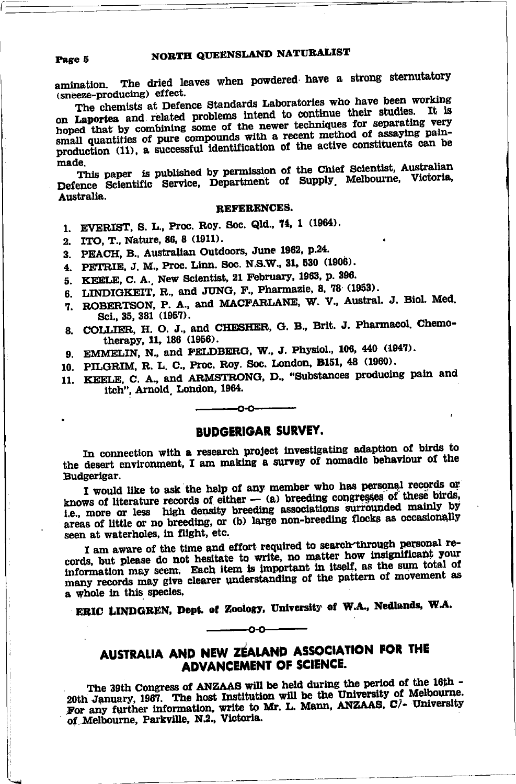Page 5

amination. The dried leaves when powdered have a strong sternutatory (sneeze-producing) effect.

The chemists at Defence Standards Laboratories who have been working on Laportea and related problems intend to continue their studies. It is hoped that by combining some of the newer techniques for separating very small quantities of pure compounds with a recent method of assaying painproduction (11), a successful identification of the active constituents can be made.

This paper is published by permission of the Chief Scientist, Australian Defence Scientific Service, Department of Supply Melbourne, Victoria, Australia.

#### REFERENCES.

- 1. EVERIST, S. L., Proc. Roy. Soc. Qld., 74, 1 (1964).
- 2. ITO, T., Nature, 86, 8 (1911).
- 3. PEACH, B., Australian Outdoors, June 1962, p.24.
- 4. PETRIE, J. M., Proc. Linn. Soc. N.S.W., 31, 530 (1906).
- 5. KEELE, C. A. New Scientist, 21 February, 1963, p. 396.
- 6. LINDIGKEIT, R., and JUNG, F., Pharmazie, 8, 78 (1953).
- 7. ROBERTSON, P. A., and MACFARLANE, W. V., Austral. J. Biol. Med. Sci., 35, 381 (1957).
- 8. COLLIER, H. O. J., and CHESHER, G. B., Brit. J. Pharmacol. Chemotherapy, 11, 186 (1956).
- 9. EMMELIN, N., and FELDBERG, W., J. Physiol., 106, 440 (1947).
- 10. PILGRIM, R. L. C., Proc. Roy. Soc. London, B151, 48 (1960).
- 11. KEELE, C. A., and ARMSTRONG, D., "Substances producing pain and itch", Arnold London, 1964.

### **BUDGERIGAR SURVEY.**

-റ-റ-

In connection with a research project investigating adaption of birds to the desert environment, I am making a survey of nomadic behaviour of the Budgerigar.

I would like to ask the help of any member who has personal records or knows of literature records of either  $-$  (a) breeding congresses of these birds, i.e., more or less high density breeding associations surrounded mainly by areas of little or no breeding, or (b) large non-breeding flocks as occasionally seen at waterholes, in flight, etc.

I am aware of the time and effort required to search through personal records, but please do not hesitate to write, no matter how insignificant your information may seem. Each item is important in itself, as the sum total of many records may give clearer understanding of the pattern of movement as a whole in this species.

ERIC LINDGREN, Dept. of Zoology, University of W.A., Nedlands, W.A.

∩-∩

### AUSTRALIA AND NEW ZEALAND ASSOCIATION FOR THE ADVANCEMENT OF SCIENCE.

The 39th Congress of ANZAAS will be held during the period of the 16th -20th January, 1967. The host Institution will be the University of Melbourne. For any further information, write to Mr. L. Mann, ANZAAS, C/- University of Melbourne, Parkville, N.2., Victoria.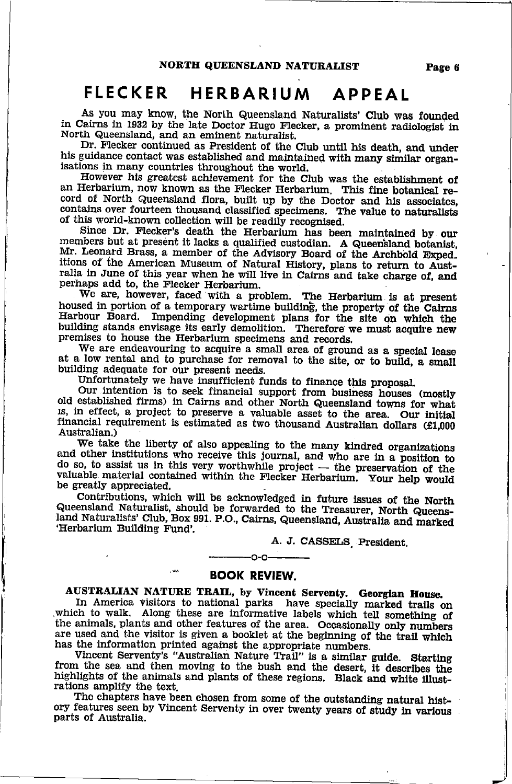### FLECKER HERBARIUM APPEAL

As you may know, the North Queensland Naturalists' Club was founded 11 in Cairns in 1932 by the late Doctor Hugo Flecker, a prominent radiologist in North Queensland, and an eminent naturalist.<br>Dr. Flecker continued as President of the Club until his death, and under

his guidance contact was established and maintained with many similar organ-<br>isations in many countries throughout the world.

However his greatest achievement for the Club was the establishment of an Herbarium, now known as the Flecker Herbarium. This fine botanical record of North Queensland flora, built up by the Doctor and his associates, contains over fourteen thousand classified specimens. The value to naturalists of this world-known collection will be readily recognised.

Since Dr. Flecker's death the Herbarium has been maintained by our members but at present it lacks a qualified custodian. A Queen'sland botanist, Mr. Leonard Brass, a member of the Advisory Board of the Archbold Exped. itions of the American Museum of Natural History, plans to return to Australia in June of this year when he will live in Cairns and take charge of, and perhaps add to, the Flecker Herbarium.<br>We are, however, faced with a p

Harbour Board. Impending development plans for the site on which the building stands envisage its early demolition. Therefore we must acquire new premises to house the Herbarium specimens and records. We are endeavouring t

at a low rental and to purchase for removal to the site, or to build, a small building adequate for our present needs.

Unfortunately we have insufficient funds to finance this proposal.

our intention is to seek financial support from business houses (mostly old established firms) in Cairns and other North Queensland towns for what is, in effect, a project to preserve a valuable asset to the area. Our init financial requirement is estimated as two thousand Australian dollars (£1,000 Australian.)<br>We take the liberty of also appealing to the many kindred organizations

and other institutions who receive this journal, and who are in a position to do so, to assist us in this very worthwhile project  $-$  the preservation of the do so, to assist us in this very worthwhile project — the preservation of the<br>valuable material contained within the Flecker Herbarium. Your help would<br>be greatly appreciated.

be greatly appreciated.<br>Contributions, which will be acknowledged in future issues of the North<br>Queensland Naturalist, should be forwarded to the Treasurer, North Queensland<br>Naturalists' Club, Box 991. P.O., Cairns, Queens

A. J. CASSELS, President.

**EOOK REVIEW.**<br>AUSTRALIAN NATURE TRAIL, by Vincent Serventy. Georgian House.

 $-0.0-$ 

In America visitors to national parks have specially marked trails on which to walk. Along these are informative labels which tell something of the animals, plants and other features of the area. Occasionally only numbers are used and the visitor is given a booklet at the beginning of the trail which has the information printed against the appropriate numbers. Vincent Serventy's "Australian Nature Trail" is a similar guide. Starting

from the sea and then moving to the bush and the desert, it describes the highlights of the animals and plants of these regions. Black and white illust-<br>rations amplify the text. The chapters have been chosen from some of

ory features seen by Vincent Serventy in over twenty years of study in various parts of Australia.

Page 6